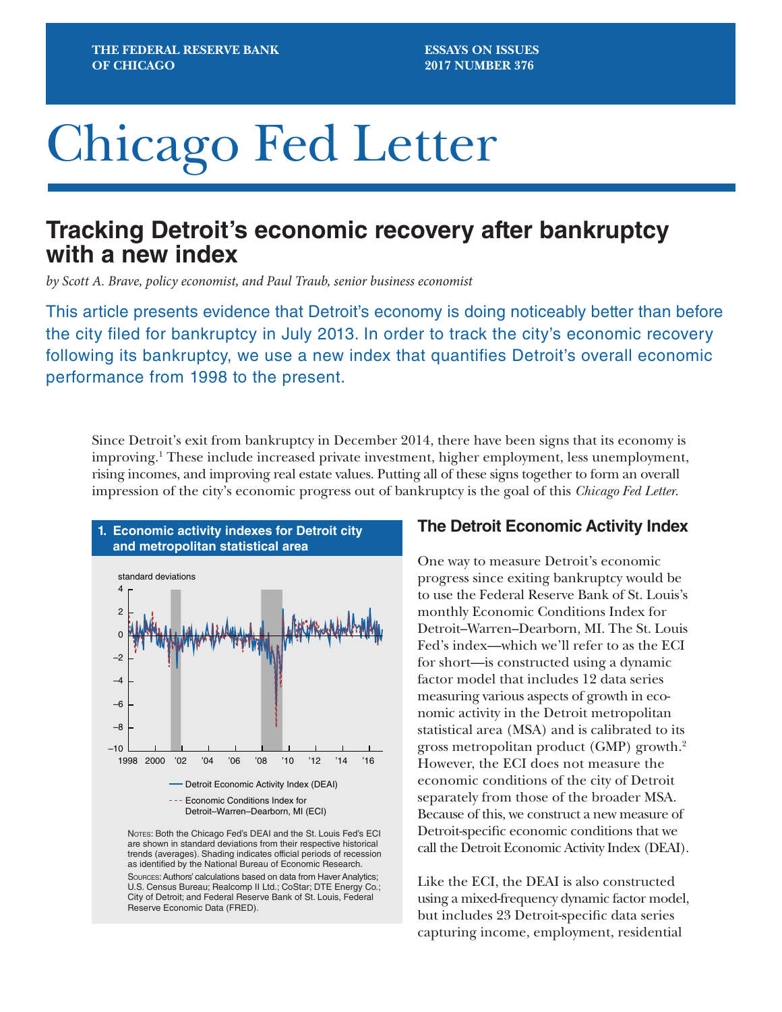# Chicago Fed Letter

# **Tracking Detroit's economic recovery after bankruptcy with a new index**

*by Scott A. Brave, policy economist, and Paul Traub, senior business economist*

This article presents evidence that Detroit's economy is doing noticeably better than before the city filed for bankruptcy in July 2013. In order to track the city's economic recovery following its bankruptcy, we use a new index that quantifies Detroit's overall economic performance from 1998 to the present.

Since Detroit's exit from bankruptcy in December 2014, there have been signs that its economy is improving.1 These include increased private investment, higher employment, less unemployment, rising incomes, and improving real estate values. Putting all of these signs together to form an overall impression of the city's economic progress out of bankruptcy is the goal of this *Chicago Fed Letter*.



as identified by the National Bureau of Economic Research. Sources: Authors' calculations based on data from Haver Analytics; U.S. Census Bureau; Realcomp II Ltd.; CoStar; DTE Energy Co.; City of Detroit; and Federal Reserve Bank of St. Louis, Federal Reserve Economic Data (FRED).

## **The Detroit Economic Activity Index**

One way to measure Detroit's economic progress since exiting bankruptcy would be to use the Federal Reserve Bank of St. Louis's monthly Economic Conditions Index for Detroit–Warren–Dearborn, MI. The St. Louis Fed's index—which we'll refer to as the ECI for short—is constructed using a dynamic factor model that includes 12 data series measuring various aspects of growth in economic activity in the Detroit metropolitan statistical area (MSA) and is calibrated to its gross metropolitan product (GMP) growth.2 However, the ECI does not measure the economic conditions of the city of Detroit separately from those of the broader MSA. Because of this, we construct a new measure of Detroit-specific economic conditions that we call the Detroit Economic Activity Index (DEAI).

Like the ECI, the DEAI is also constructed using a mixed-frequency dynamic factor model, but includes 23 Detroit-specific data series capturing income, employment, residential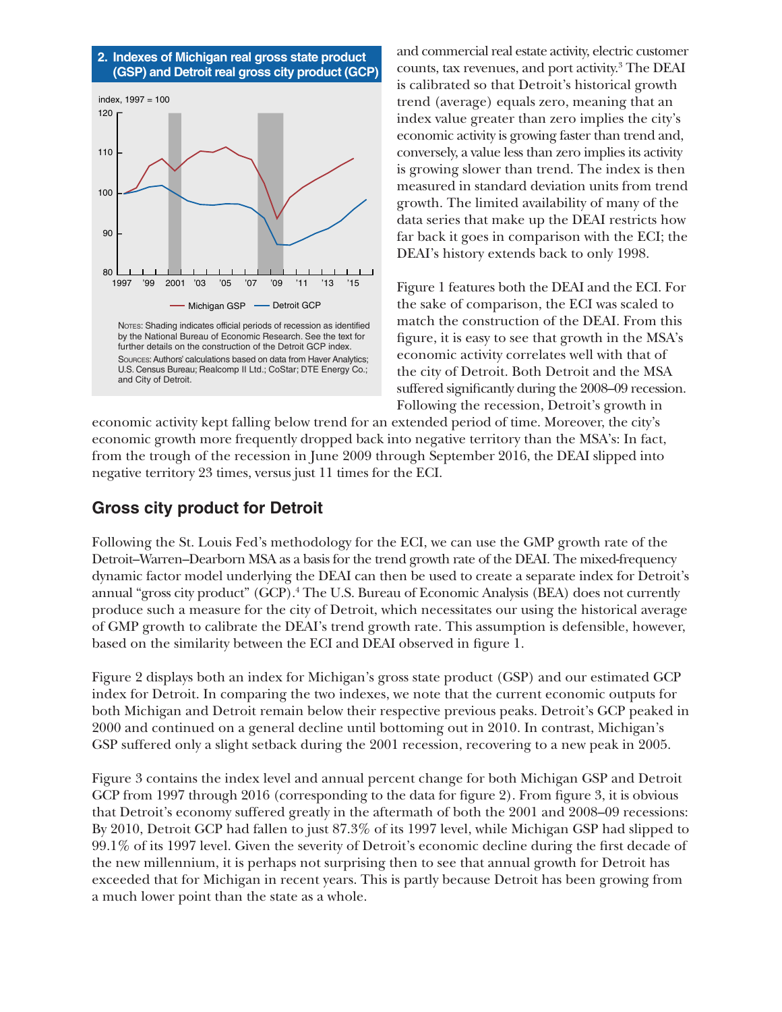

and commercial real estate activity, electric customer counts, tax revenues, and port activity.<sup>3</sup> The DEAI is calibrated so that Detroit's historical growth trend (average) equals zero, meaning that an index value greater than zero implies the city's economic activity is growing faster than trend and, conversely, a value less than zero implies its activity is growing slower than trend. The index is then measured in standard deviation units from trend growth. The limited availability of many of the data series that make up the DEAI restricts how far back it goes in comparison with the ECI; the DEAI's history extends back to only 1998.

Figure 1 features both the DEAI and the ECI. For the sake of comparison, the ECI was scaled to match the construction of the DEAI. From this figure, it is easy to see that growth in the MSA's economic activity correlates well with that of the city of Detroit. Both Detroit and the MSA suffered significantly during the 2008–09 recession. Following the recession, Detroit's growth in

economic activity kept falling below trend for an extended period of time. Moreover, the city's economic growth more frequently dropped back into negative territory than the MSA's: In fact, from the trough of the recession in June 2009 through September 2016, the DEAI slipped into negative territory 23 times, versus just 11 times for the ECI.

# **Gross city product for Detroit**

Following the St. Louis Fed's methodology for the ECI, we can use the GMP growth rate of the Detroit–Warren–Dearborn MSA as a basis for the trend growth rate of the DEAI. The mixed-frequency dynamic factor model underlying the DEAI can then be used to create a separate index for Detroit's annual "gross city product" (GCP).4 The U.S. Bureau of Economic Analysis (BEA) does not currently produce such a measure for the city of Detroit, which necessitates our using the historical average of GMP growth to calibrate the DEAI's trend growth rate. This assumption is defensible, however, based on the similarity between the ECI and DEAI observed in figure 1.

Figure 2 displays both an index for Michigan's gross state product (GSP) and our estimated GCP index for Detroit. In comparing the two indexes, we note that the current economic outputs for both Michigan and Detroit remain below their respective previous peaks. Detroit's GCP peaked in 2000 and continued on a general decline until bottoming out in 2010. In contrast, Michigan's GSP suffered only a slight setback during the 2001 recession, recovering to a new peak in 2005.

Figure 3 contains the index level and annual percent change for both Michigan GSP and Detroit GCP from 1997 through 2016 (corresponding to the data for figure 2). From figure 3, it is obvious that Detroit's economy suffered greatly in the aftermath of both the 2001 and 2008–09 recessions: By 2010, Detroit GCP had fallen to just 87.3% of its 1997 level, while Michigan GSP had slipped to 99.1% of its 1997 level. Given the severity of Detroit's economic decline during the first decade of the new millennium, it is perhaps not surprising then to see that annual growth for Detroit has exceeded that for Michigan in recent years. This is partly because Detroit has been growing from a much lower point than the state as a whole.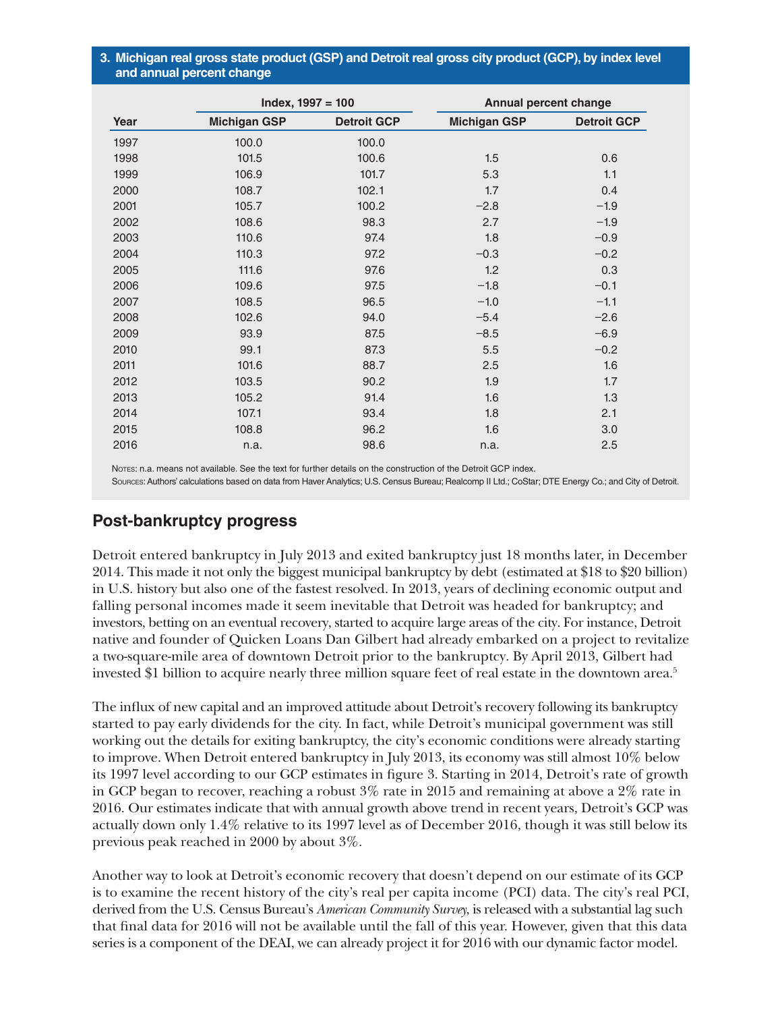#### **3. Michigan real gross state product (GSP) and Detroit real gross city product (GCP), by index level and annual percent change**

| Year | $Index, 1997 = 100$ |                    | Annual percent change |                    |
|------|---------------------|--------------------|-----------------------|--------------------|
|      | <b>Michigan GSP</b> | <b>Detroit GCP</b> | <b>Michigan GSP</b>   | <b>Detroit GCP</b> |
| 1997 | 100.0               | 100.0              |                       |                    |
| 1998 | 101.5               | 100.6              | 1.5                   | 0.6                |
| 1999 | 106.9               | 101.7              | 5.3                   | 1.1                |
| 2000 | 108.7               | 102.1              | 1.7                   | 0.4                |
| 2001 | 105.7               | 100.2              | $-2.8$                | $-1.9$             |
| 2002 | 108.6               | 98.3               | 2.7                   | $-1.9$             |
| 2003 | 110.6               | 97.4               | 1.8                   | $-0.9$             |
| 2004 | 110.3               | 97.2               | $-0.3$                | $-0.2$             |
| 2005 | 111.6               | 97.6               | 1.2                   | 0.3                |
| 2006 | 109.6               | 97.5               | $-1.8$                | $-0.1$             |
| 2007 | 108.5               | 96.5               | $-1.0$                | $-1.1$             |
| 2008 | 102.6               | 94.0               | $-5.4$                | $-2.6$             |
| 2009 | 93.9                | 87.5               | $-8.5$                | $-6.9$             |
| 2010 | 99.1                | 87.3               | 5.5                   | $-0.2$             |
| 2011 | 101.6               | 88.7               | 2.5                   | 1.6                |
| 2012 | 103.5               | 90.2               | 1.9                   | 1.7                |
| 2013 | 105.2               | 91.4               | 1.6                   | 1.3                |
| 2014 | 107.1               | 93.4               | 1.8                   | 2.1                |
| 2015 | 108.8               | 96.2               | 1.6                   | 3.0                |
| 2016 | n.a.                | 98.6               | n.a.                  | 2.5                |

Notes: n.a. means not available. See the text for further details on the construction of the Detroit GCP index.

Sources: Authors' calculations based on data from Haver Analytics; U.S. Census Bureau; Realcomp II Ltd.; CoStar; DTE Energy Co.; and City of Detroit.

## **Post-bankruptcy progress**

Detroit entered bankruptcy in July 2013 and exited bankruptcy just 18 months later, in December 2014. This made it not only the biggest municipal bankruptcy by debt (estimated at \$18 to \$20 billion) in U.S. history but also one of the fastest resolved. In 2013, years of declining economic output and falling personal incomes made it seem inevitable that Detroit was headed for bankruptcy; and investors, betting on an eventual recovery, started to acquire large areas of the city. For instance, Detroit native and founder of Quicken Loans Dan Gilbert had already embarked on a project to revitalize a two-square-mile area of downtown Detroit prior to the bankruptcy. By April 2013, Gilbert had invested \$1 billion to acquire nearly three million square feet of real estate in the downtown area.<sup>5</sup>

The influx of new capital and an improved attitude about Detroit's recovery following its bankruptcy started to pay early dividends for the city. In fact, while Detroit's municipal government was still working out the details for exiting bankruptcy, the city's economic conditions were already starting to improve. When Detroit entered bankruptcy in July 2013, its economy was still almost 10% below its 1997 level according to our GCP estimates in figure 3. Starting in 2014, Detroit's rate of growth in GCP began to recover, reaching a robust 3% rate in 2015 and remaining at above a 2% rate in 2016. Our estimates indicate that with annual growth above trend in recent years, Detroit's GCP was actually down only 1.4% relative to its 1997 level as of December 2016, though it was still below its previous peak reached in 2000 by about 3%.

Another way to look at Detroit's economic recovery that doesn't depend on our estimate of its GCP is to examine the recent history of the city's real per capita income (PCI) data. The city's real PCI, derived from the U.S. Census Bureau's *American Community Survey*, is released with a substantial lag such that final data for 2016 will not be available until the fall of this year. However, given that this data series is a component of the DEAI, we can already project it for 2016 with our dynamic factor model.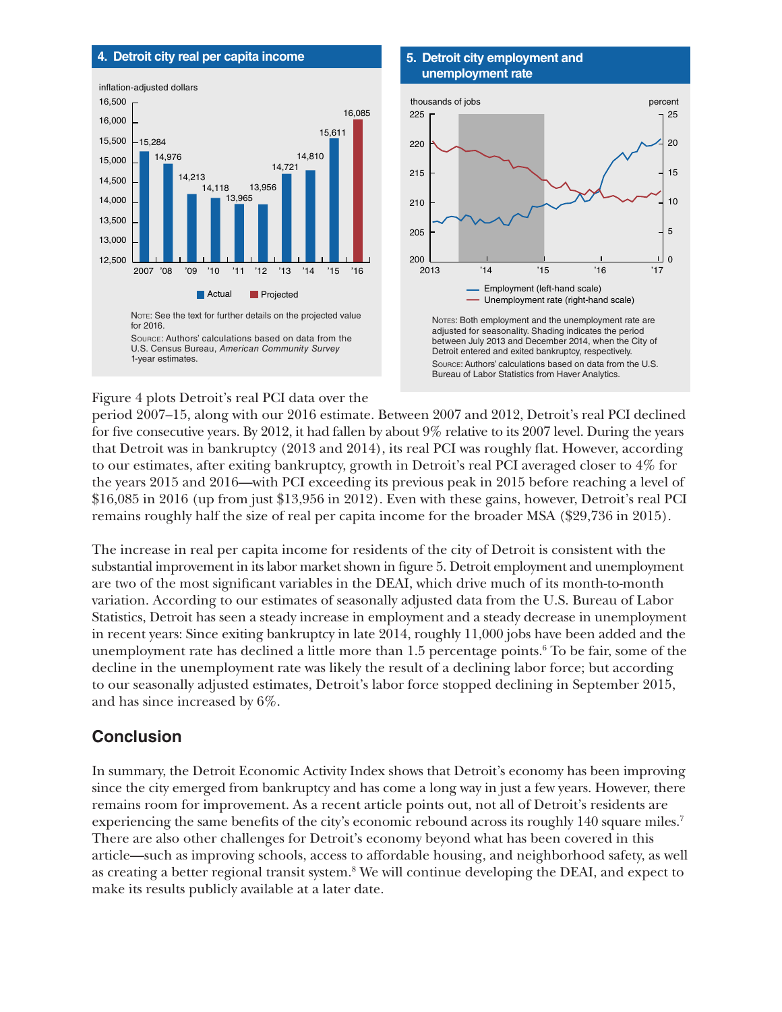#### **4. Detroit city real per capita income**



#### **5. Detroit city employment and unemployment rate**



Figure 4 plots Detroit's real PCI data over the

period 2007–15, along with our 2016 estimate. Between 2007 and 2012, Detroit's real PCI declined for five consecutive years. By 2012, it had fallen by about 9% relative to its 2007 level. During the years that Detroit was in bankruptcy (2013 and 2014), its real PCI was roughly flat. However, according to our estimates, after exiting bankruptcy, growth in Detroit's real PCI averaged closer to 4% for the years 2015 and 2016—with PCI exceeding its previous peak in 2015 before reaching a level of \$16,085 in 2016 (up from just \$13,956 in 2012). Even with these gains, however, Detroit's real PCI remains roughly half the size of real per capita income for the broader MSA (\$29,736 in 2015).

The increase in real per capita income for residents of the city of Detroit is consistent with the substantial improvement in its labor market shown in figure 5. Detroit employment and unemployment are two of the most significant variables in the DEAI, which drive much of its month-to-month variation. According to our estimates of seasonally adjusted data from the U.S. Bureau of Labor Statistics, Detroit has seen a steady increase in employment and a steady decrease in unemployment in recent years: Since exiting bankruptcy in late 2014, roughly 11,000 jobs have been added and the unemployment rate has declined a little more than  $1.5$  percentage points.<sup>6</sup> To be fair, some of the decline in the unemployment rate was likely the result of a declining labor force; but according to our seasonally adjusted estimates, Detroit's labor force stopped declining in September 2015, and has since increased by 6%.

# **Conclusion**

In summary, the Detroit Economic Activity Index shows that Detroit's economy has been improving since the city emerged from bankruptcy and has come a long way in just a few years. However, there remains room for improvement. As a recent article points out, not all of Detroit's residents are experiencing the same benefits of the city's economic rebound across its roughly 140 square miles.<sup>7</sup> There are also other challenges for Detroit's economy beyond what has been covered in this article—such as improving schools, access to affordable housing, and neighborhood safety, as well as creating a better regional transit system.<sup>8</sup> We will continue developing the DEAI, and expect to make its results publicly available at a later date.